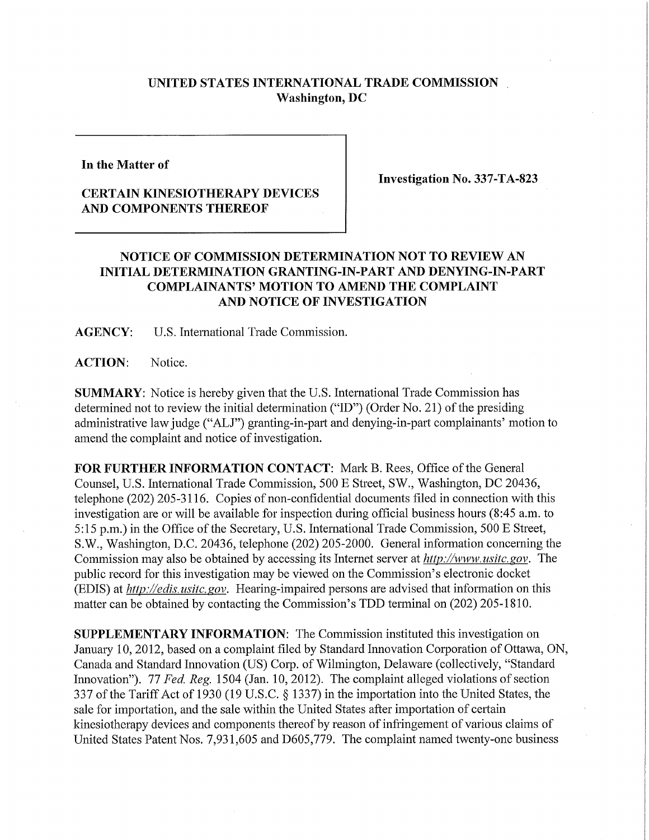## **UNITED STATES INTERNATIONAL TRADE COMMISSION Washington, DC**

**In the Matter of** 

## **CERTAIN KINESIOTHERAPY DEVICES AND COMPONENTS THEREOF**

**Investigation No. 337-TA-823** 

## **NOTICE OF COMMISSION DETERMINATION NOT TO REVIEW AN INITIAL DETERMINATION GRANTING-IN-PART AND DENYING-IN-PART COMPLAINANTS' MOTION TO AMEND THE COMPLAINT AND NOTICE OF INVESTIGATION**

**AGENCY:** U.S. International Trade Commission.

ACTION: Notice.

**SUMMARY:** Notice is hereby given that the U.S. International Trade Commission has determined not to review the initial determination ("ID") (Order No. 21) of the presiding administrative law judge ("ALJ") granting-in-part and denying-in-part complainants' motion to amend the complaint and notice of investigation.

FOR FURTHER INFORMATION CONTACT: Mark B. Rees, Office of the General Counsel, U.S. International Trade Commission, 500 E Street, SW., Washington, DC 20436, telephone (202) 205-3116. Copies of non-confidential documents filed in connection with this investigation are or will be available for inspection during official business hours (8:45 a.m. to 5:15 p.m.) in the Office of the Secretary, U.S. International Trade Commission, 500 E Street, S.W., Washington, D.C. 20436, telephone (202) 205-2000. General information concerning the Commission may also be obtained by accessing its Internet server at *http://www, usitc. gov.* The public record for this investigation may be viewed on the Commission's electronic docket (EDIS) at *http://edis. usitc. gov.* Hearing-impaired persons are advised that information on this matter can be obtained by contacting the Commission's TDD terminal on (202) 205-1810.

**SUPPLEMENTARY INFORMATION:** The Commission instituted this investigation on January 10,2012, based on a complaint filed by Standard Innovation Corporation of Ottawa, ON, Canada and Standard Innovation (US) Corp. of Wilmington, Delaware (collectively, "Standard Innovation"). 77 *Fed. Reg.* 1504 (Jan. 10, 2012). The complaint alleged violations of section 337 ofthe Tariff Act of 1930 (19 U.S.C. § 1337) in the importation into the United States, the sale for importation, and the sale within the United States after importation of certain kinesiotherapy devices and components thereof by reason of infringement of various claims of United States Patent Nos. 7,931,605 and D605,779. The complaint named twenty-one business